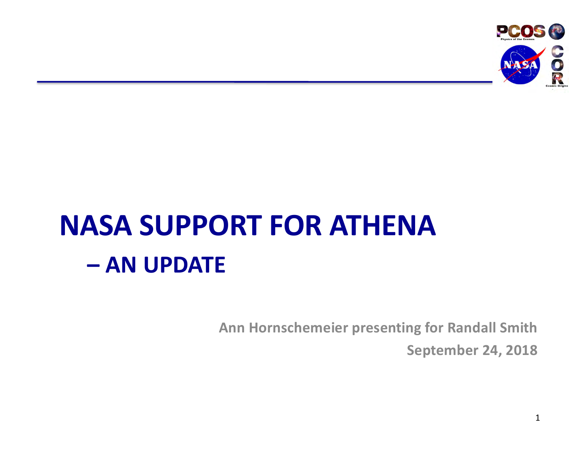

## **NASA SUPPORT FOR ATHENA – AN UPDATE**

**Ann Hornschemeier presenting for Randall Smith**

**September 24, 2018**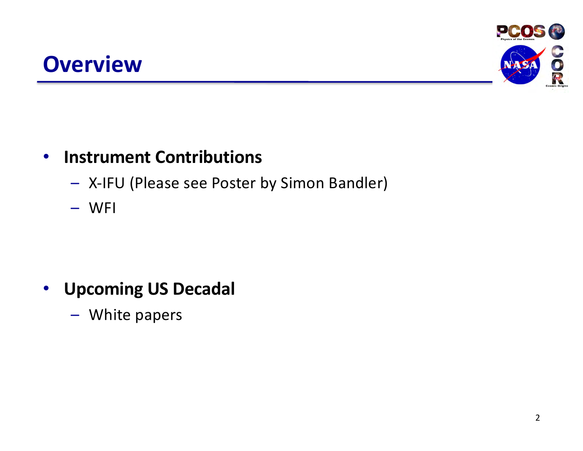#### **Overview**



#### • **Instrument Contributions**

- X-IFU (Please see Poster by Simon Bandler)
- WFI

#### • **Upcoming US Decadal**

– White papers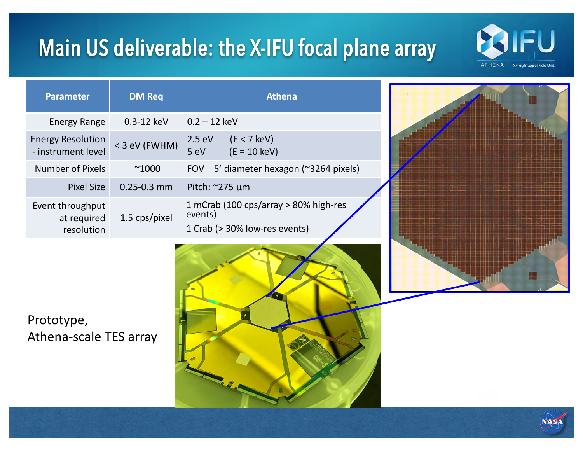### Main US deliverable: the X-IFU focal plane array



| <b>Parameter</b>                               | <b>DM Req</b>   | <b>Athena</b>                                                                     |
|------------------------------------------------|-----------------|-----------------------------------------------------------------------------------|
| <b>Energy Range</b>                            | 0.3-12 keV      | $0.2 - 12$ keV                                                                    |
| <b>Energy Resolution</b><br>- instrument level | < 3 eV (FWHM)   | $(E < 7$ keV)<br>2.5 eV<br>$(E = 10 \text{ keV})$<br>5 eV                         |
| <b>Number of Pixels</b>                        | $^{\sim}1000$   | FOV = 5' diameter hexagon ( $\approx$ 3264 pixels)                                |
| <b>Pixel Size</b>                              | $0.25 - 0.3$ mm | Pitch: $\approx$ 275 µm                                                           |
| Event throughput<br>at required<br>resolution  | 1.5 cps/pixel   | 1 mCrab (100 cps/array > 80% high-res<br>events)<br>1 Crab (> 30% low-res events) |



Prototype, Athena-scale TES array



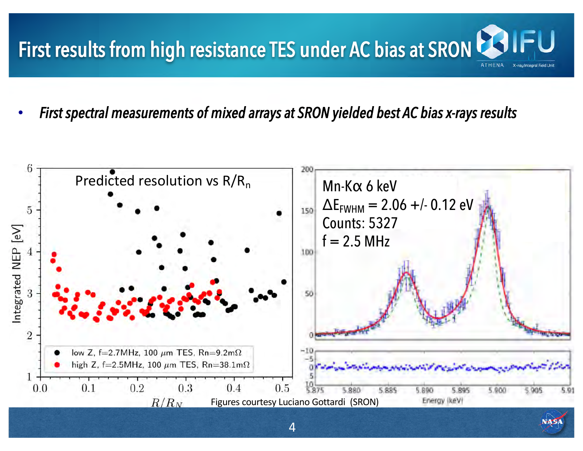# First results from high resistance TES under AC bias at SRON CSIII

• *First spectral measurements of mixed arrays at SRON yielded best AC bias x-rays results*

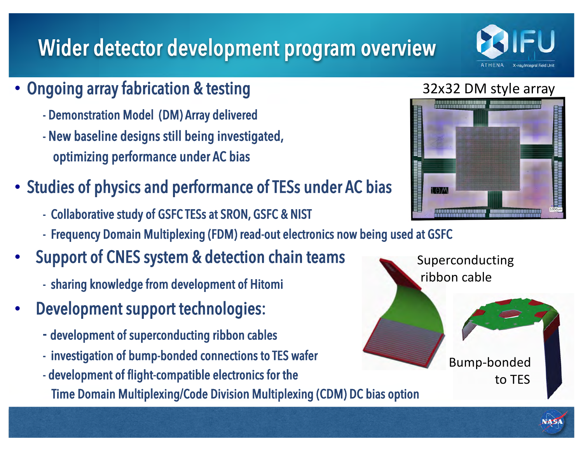## Wider detector development program overview

- Ongoing array fabrication & testing
	- Demonstration Model (DM) Array delivered
	- New baseline designs still being investigated, optimizing performance under AC bias
- Studies of physics and performance of TESs under AC bias
	- Collaborative study of GSFC TESs at SRON, GSFC & NIST
	- Frequency Domain Multiplexing (FDM) read-out electronics now being used at GSFC
- Support of CNES system & detection chain teams
	- sharing knowledge from development of Hitomi
- Development support technologies:
	- development of superconducting ribbon cables
	- investigation of bump-bonded connections to TES wafer
	- development of flight-compatible electronics for the

Time Domain Multiplexing/Code Division Multiplexing (CDM) DC bias option





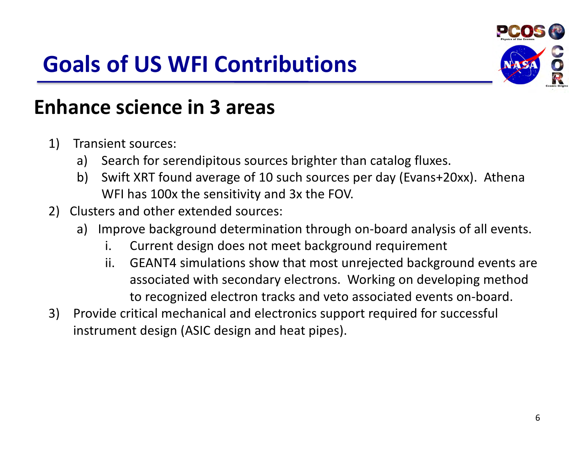## **Goals of US WFI Contributions**



#### **Enhance science in 3 areas**

- 1) Transient sources:
	- a) Search for serendipitous sources brighter than catalog fluxes.
	- b) Swift XRT found average of 10 such sources per day (Evans+20xx). Athena WFI has 100x the sensitivity and 3x the FOV.
- 2) Clusters and other extended sources:
	- a) Improve background determination through on-board analysis of all events.
		- i. Current design does not meet background requirement
		- ii. GEANT4 simulations show that most unrejected background events are associated with secondary electrons. Working on developing method to recognized electron tracks and veto associated events on-board.
- 3) Provide critical mechanical and electronics support required for successful instrument design (ASIC design and heat pipes).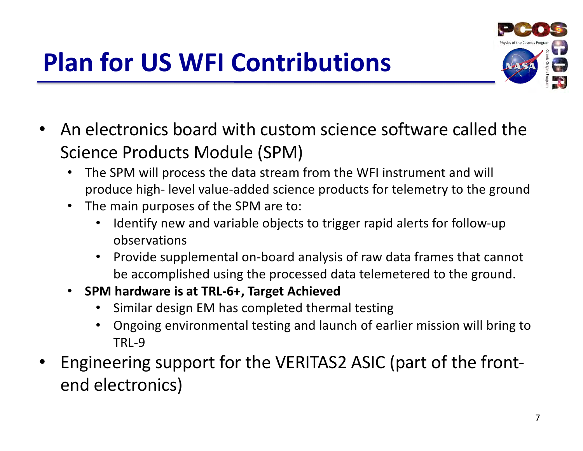## **Plan for US WFI Contributions**



- An electronics board with custom science software called the Science Products Module (SPM)
	- The SPM will process the data stream from the WFI instrument and will produce high- level value-added science products for telemetry to the ground
	- The main purposes of the SPM are to:
		- Identify new and variable objects to trigger rapid alerts for follow-up observations
		- Provide supplemental on-board analysis of raw data frames that cannot be accomplished using the processed data telemetered to the ground.
	- **SPM hardware is at TRL-6+, Target Achieved** 
		- Similar design EM has completed thermal testing
		- Ongoing environmental testing and launch of earlier mission will bring to TRL-9
- Engineering support for the VERITAS2 ASIC (part of the frontend electronics)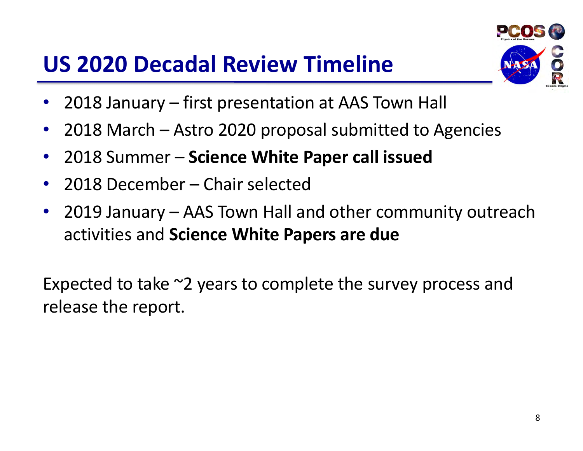### **US 2020 Decadal Review Timeline**



- 2018 January first presentation at AAS Town Hall
- 2018 March Astro 2020 proposal submitted to Agencies
- 2018 Summer **Science White Paper call issued**
- 2018 December Chair selected
- 2019 January AAS Town Hall and other community outreach activities and **Science White Papers are due**

Expected to take ~2 years to complete the survey process and release the report.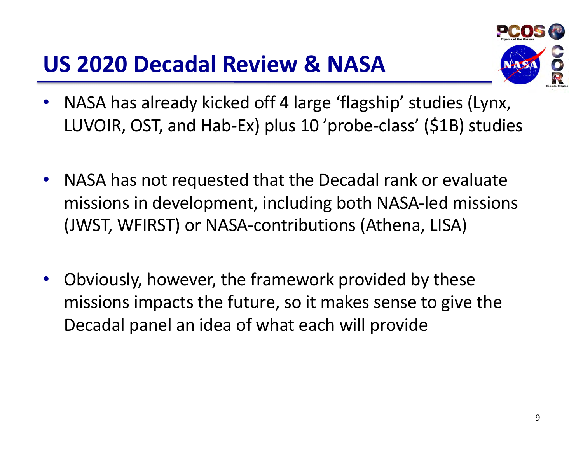#### **US 2020 Decadal Review & NASA**



- NASA has already kicked off 4 large 'flagship' studies (Lynx, LUVOIR, OST, and Hab-Ex) plus 10 'probe-class' (\$1B) studies
- NASA has not requested that the Decadal rank or evaluate missions in development, including both NASA-led missions (JWST, WFIRST) or NASA-contributions (Athena, LISA)
- Obviously, however, the framework provided by these missions impacts the future, so it makes sense to give the Decadal panel an idea of what each will provide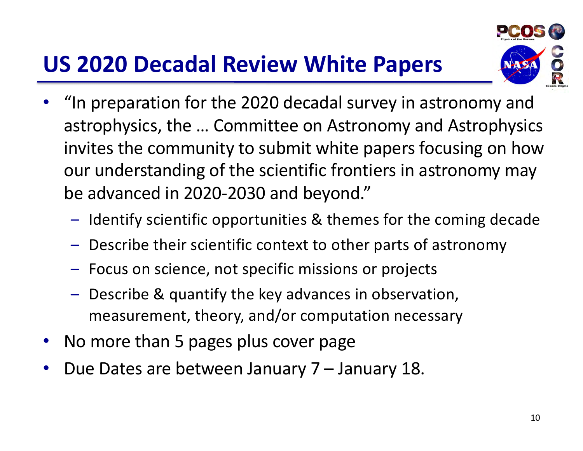#### **US 2020 Decadal Review White Papers**



- "In preparation for the 2020 decadal survey in astronomy and astrophysics, the … Committee on Astronomy and Astrophysics invites the community to submit white papers focusing on how our understanding of the scientific frontiers in astronomy may be advanced in 2020-2030 and beyond."
	- Identify scientific opportunities & themes for the coming decade
	- Describe their scientific context to other parts of astronomy
	- Focus on science, not specific missions or projects
	- Describe & quantify the key advances in observation, measurement, theory, and/or computation necessary
- No more than 5 pages plus cover page
- Due Dates are between January 7 January 18.